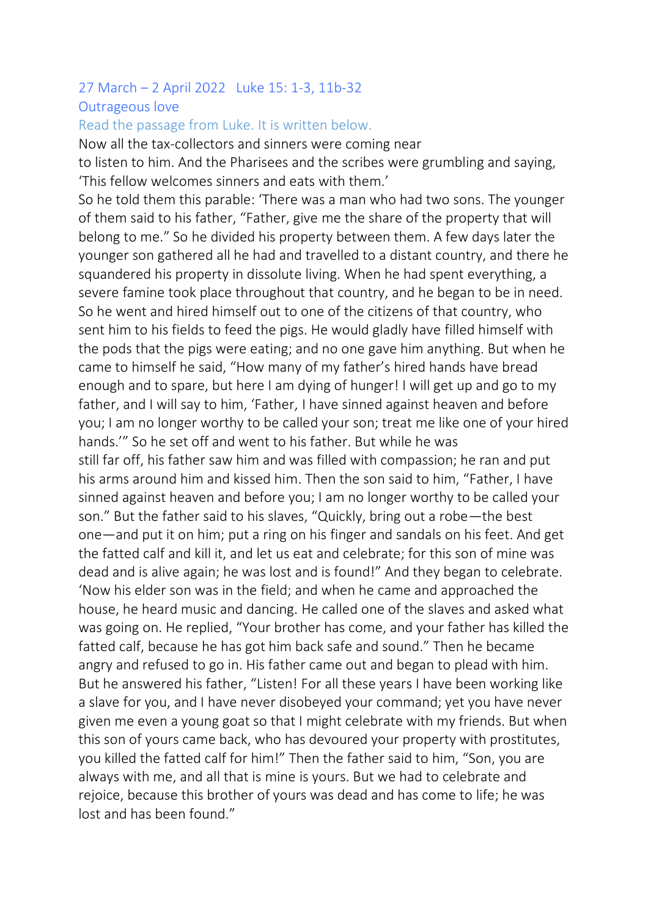## 27 March – 2 April 2022 Luke 15: 1-3, 11b-32 Outrageous love

#### Read the passage from Luke. It is written below.

Now all the tax-collectors and sinners were coming near

to listen to him. And the Pharisees and the scribes were grumbling and saying, 'This fellow welcomes sinners and eats with them.'

So he told them this parable: 'There was a man who had two sons. The younger of them said to his father, "Father, give me the share of the property that will belong to me." So he divided his property between them. A few days later the younger son gathered all he had and travelled to a distant country, and there he squandered his property in dissolute living. When he had spent everything, a severe famine took place throughout that country, and he began to be in need. So he went and hired himself out to one of the citizens of that country, who sent him to his fields to feed the pigs. He would gladly have filled himself with the pods that the pigs were eating; and no one gave him anything. But when he came to himself he said, "How many of my father's hired hands have bread enough and to spare, but here I am dying of hunger! I will get up and go to my father, and I will say to him, 'Father, I have sinned against heaven and before you; I am no longer worthy to be called your son; treat me like one of your hired hands.'" So he set off and went to his father. But while he was still far off, his father saw him and was filled with compassion; he ran and put his arms around him and kissed him. Then the son said to him, "Father, I have sinned against heaven and before you; I am no longer worthy to be called your son." But the father said to his slaves, "Quickly, bring out a robe—the best one—and put it on him; put a ring on his finger and sandals on his feet. And get the fatted calf and kill it, and let us eat and celebrate; for this son of mine was dead and is alive again; he was lost and is found!" And they began to celebrate. 'Now his elder son was in the field; and when he came and approached the house, he heard music and dancing. He called one of the slaves and asked what was going on. He replied, "Your brother has come, and your father has killed the fatted calf, because he has got him back safe and sound." Then he became angry and refused to go in. His father came out and began to plead with him. But he answered his father, "Listen! For all these years I have been working like a slave for you, and I have never disobeyed your command; yet you have never given me even a young goat so that I might celebrate with my friends. But when this son of yours came back, who has devoured your property with prostitutes, you killed the fatted calf for him!" Then the father said to him, "Son, you are always with me, and all that is mine is yours. But we had to celebrate and rejoice, because this brother of yours was dead and has come to life; he was lost and has been found."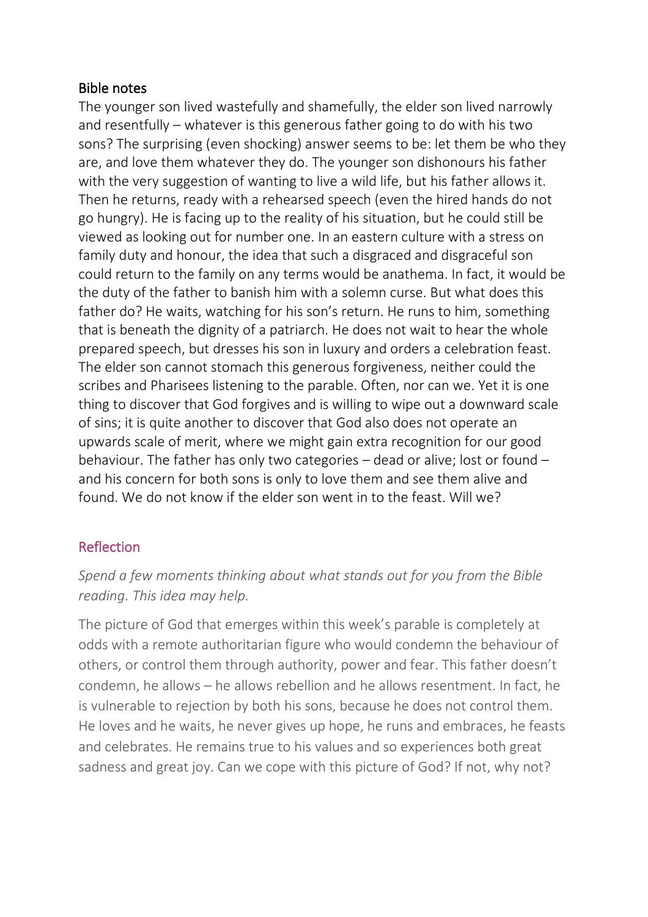#### Bible notes

The younger son lived wastefully and shamefully, the elder son lived narrowly and resentfully – whatever is this generous father going to do with his two sons? The surprising (even shocking) answer seems to be: let them be who they are, and love them whatever they do. The younger son dishonours his father with the very suggestion of wanting to live a wild life, but his father allows it. Then he returns, ready with a rehearsed speech (even the hired hands do not go hungry). He is facing up to the reality of his situation, but he could still be viewed as looking out for number one. In an eastern culture with a stress on family duty and honour, the idea that such a disgraced and disgraceful son could return to the family on any terms would be anathema. In fact, it would be the duty of the father to banish him with a solemn curse. But what does this father do? He waits, watching for his son's return. He runs to him, something that is beneath the dignity of a patriarch. He does not wait to hear the whole prepared speech, but dresses his son in luxury and orders a celebration feast. The elder son cannot stomach this generous forgiveness, neither could the scribes and Pharisees listening to the parable. Often, nor can we. Yet it is one thing to discover that God forgives and is willing to wipe out a downward scale of sins; it is quite another to discover that God also does not operate an upwards scale of merit, where we might gain extra recognition for our good behaviour. The father has only two categories – dead or alive; lost or found – and his concern for both sons is only to love them and see them alive and found. We do not know if the elder son went in to the feast. Will we?

## **Reflection**

# *Spend a few moments thinking about what stands out for you from the Bible reading. This idea may help.*

The picture of God that emerges within this week's parable is completely at odds with a remote authoritarian figure who would condemn the behaviour of others, or control them through authority, power and fear. This father doesn't condemn, he allows – he allows rebellion and he allows resentment. In fact, he is vulnerable to rejection by both his sons, because he does not control them. He loves and he waits, he never gives up hope, he runs and embraces, he feasts and celebrates. He remains true to his values and so experiences both great sadness and great joy. Can we cope with this picture of God? If not, why not?